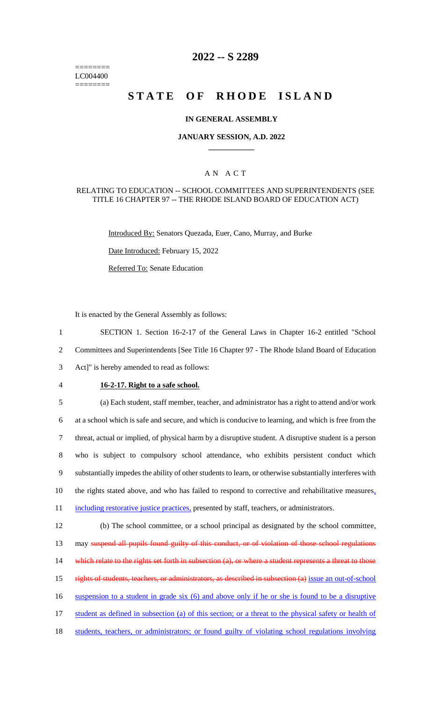======== LC004400 ========

# **2022 -- S 2289**

# **STATE OF RHODE ISLAND**

### **IN GENERAL ASSEMBLY**

### **JANUARY SESSION, A.D. 2022 \_\_\_\_\_\_\_\_\_\_\_\_**

### A N A C T

#### RELATING TO EDUCATION -- SCHOOL COMMITTEES AND SUPERINTENDENTS (SEE TITLE 16 CHAPTER 97 -- THE RHODE ISLAND BOARD OF EDUCATION ACT)

Introduced By: Senators Quezada, Euer, Cano, Murray, and Burke

Date Introduced: February 15, 2022

Referred To: Senate Education

It is enacted by the General Assembly as follows:

1 SECTION 1. Section 16-2-17 of the General Laws in Chapter 16-2 entitled "School 2 Committees and Superintendents [See Title 16 Chapter 97 - The Rhode Island Board of Education 3 Act]" is hereby amended to read as follows:

### 4 **16-2-17. Right to a safe school.**

 (a) Each student, staff member, teacher, and administrator has a right to attend and/or work at a school which is safe and secure, and which is conducive to learning, and which is free from the threat, actual or implied, of physical harm by a disruptive student. A disruptive student is a person who is subject to compulsory school attendance, who exhibits persistent conduct which substantially impedes the ability of other students to learn, or otherwise substantially interferes with 10 the rights stated above, and who has failed to respond to corrective and rehabilitative measures, 11 including restorative justice practices, presented by staff, teachers, or administrators.

12 (b) The school committee, or a school principal as designated by the school committee, 13 may suspend all pupils found guilty of this conduct, or of violation of those school regulations 14 which relate to the rights set forth in subsection (a), or where a student represents a threat to those 15 rights of students, teachers, or administrators, as described in subsection (a) issue an out-of-school 16 suspension to a student in grade six (6) and above only if he or she is found to be a disruptive 17 student as defined in subsection (a) of this section; or a threat to the physical safety or health of 18 students, teachers, or administrators; or found guilty of violating school regulations involving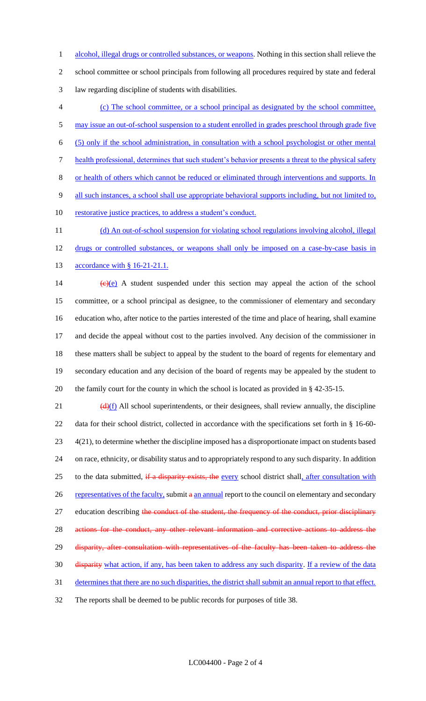alcohol, illegal drugs or controlled substances, or weapons. Nothing in this section shall relieve the school committee or school principals from following all procedures required by state and federal law regarding discipline of students with disabilities.

 (c) The school committee, or a school principal as designated by the school committee, 5 may issue an out-of-school suspension to a student enrolled in grades preschool through grade five (5) only if the school administration, in consultation with a school psychologist or other mental health professional, determines that such student's behavior presents a threat to the physical safety or health of others which cannot be reduced or eliminated through interventions and supports. In 9 all such instances, a school shall use appropriate behavioral supports including, but not limited to, 10 restorative justice practices, to address a student's conduct. 11 (d) An out-of-school suspension for violating school regulations involving alcohol, illegal

12 drugs or controlled substances, or weapons shall only be imposed on a case-by-case basis in 13 accordance with § 16-21-21.1.

 $(e)(e)$  A student suspended under this section may appeal the action of the school committee, or a school principal as designee, to the commissioner of elementary and secondary education who, after notice to the parties interested of the time and place of hearing, shall examine and decide the appeal without cost to the parties involved. Any decision of the commissioner in these matters shall be subject to appeal by the student to the board of regents for elementary and secondary education and any decision of the board of regents may be appealed by the student to the family court for the county in which the school is located as provided in § 42-35-15.

 $\frac{d(x)}{dx}$  All school superintendents, or their designees, shall review annually, the discipline data for their school district, collected in accordance with the specifications set forth in § 16-60- 4(21), to determine whether the discipline imposed has a disproportionate impact on students based on race, ethnicity, or disability status and to appropriately respond to any such disparity. In addition 25 to the data submitted, if a disparity exists, the every school district shall, after consultation with 26 representatives of the faculty, submit a an annual report to the council on elementary and secondary 27 education describing the conduct of the student, the frequency of the conduct, prior disciplinary actions for the conduct, any other relevant information and corrective actions to address the 29 disparity, after consultation with representatives of the faculty has been taken to address the disparity what action, if any, has been taken to address any such disparity. If a review of the data determines that there are no such disparities, the district shall submit an annual report to that effect. The reports shall be deemed to be public records for purposes of title 38.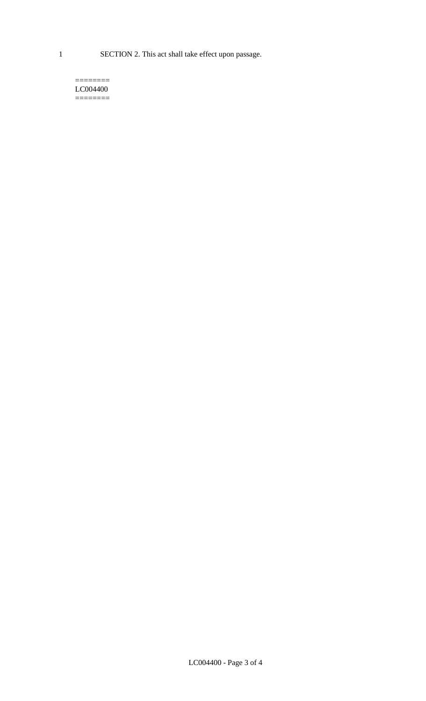1 SECTION 2. This act shall take effect upon passage.

#### $=$ LC004400  $=$